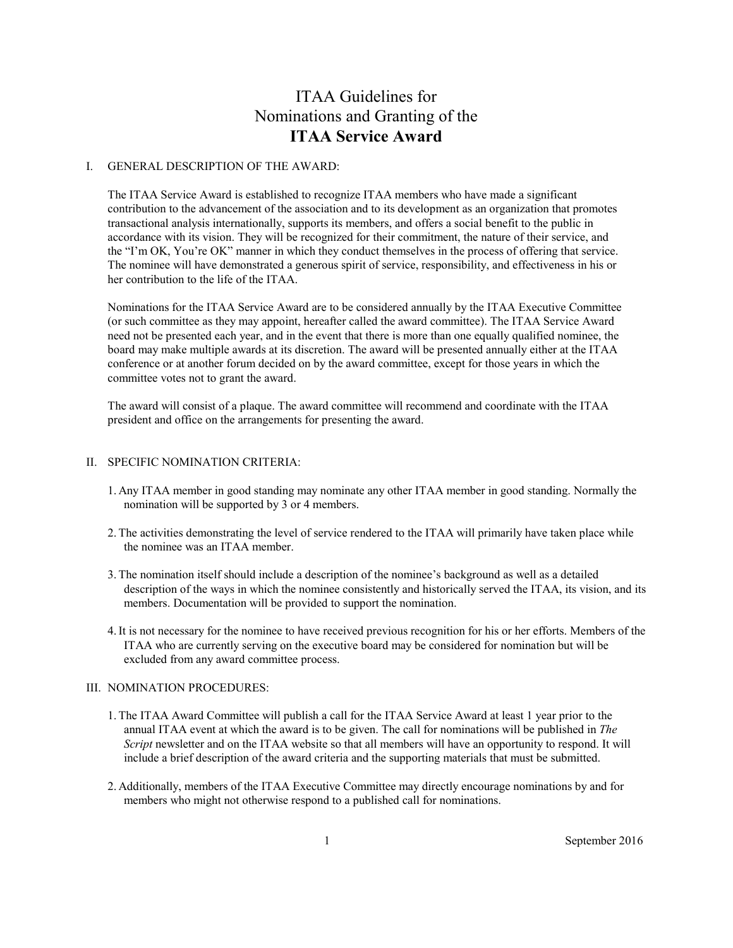# ITAA Guidelines for Nominations and Granting of the **ITAA Service Award**

#### I. GENERAL DESCRIPTION OF THE AWARD:

The ITAA Service Award is established to recognize ITAA members who have made a significant contribution to the advancement of the association and to its development as an organization that promotes transactional analysis internationally, supports its members, and offers a social benefit to the public in accordance with its vision. They will be recognized for their commitment, the nature of their service, and the "I'm OK, You're OK" manner in which they conduct themselves in the process of offering that service. The nominee will have demonstrated a generous spirit of service, responsibility, and effectiveness in his or her contribution to the life of the ITAA.

Nominations for the ITAA Service Award are to be considered annually by the ITAA Executive Committee (or such committee as they may appoint, hereafter called the award committee). The ITAA Service Award need not be presented each year, and in the event that there is more than one equally qualified nominee, the board may make multiple awards at its discretion. The award will be presented annually either at the ITAA conference or at another forum decided on by the award committee, except for those years in which the committee votes not to grant the award.

The award will consist of a plaque. The award committee will recommend and coordinate with the ITAA president and office on the arrangements for presenting the award.

## II. SPECIFIC NOMINATION CRITERIA:

- 1. Any ITAA member in good standing may nominate any other ITAA member in good standing. Normally the nomination will be supported by 3 or 4 members.
- 2.The activities demonstrating the level of service rendered to the ITAA will primarily have taken place while the nominee was an ITAA member.
- 3.The nomination itself should include a description of the nominee's background as well as a detailed description of the ways in which the nominee consistently and historically served the ITAA, its vision, and its members. Documentation will be provided to support the nomination.
- 4.It is not necessary for the nominee to have received previous recognition for his or her efforts. Members of the ITAA who are currently serving on the executive board may be considered for nomination but will be excluded from any award committee process.

## III. NOMINATION PROCEDURES:

- 1.The ITAA Award Committee will publish a call for the ITAA Service Award at least 1 year prior to the annual ITAA event at which the award is to be given. The call for nominations will be published in *The Script* newsletter and on the ITAA website so that all members will have an opportunity to respond. It will include a brief description of the award criteria and the supporting materials that must be submitted.
- 2. Additionally, members of the ITAA Executive Committee may directly encourage nominations by and for members who might not otherwise respond to a published call for nominations.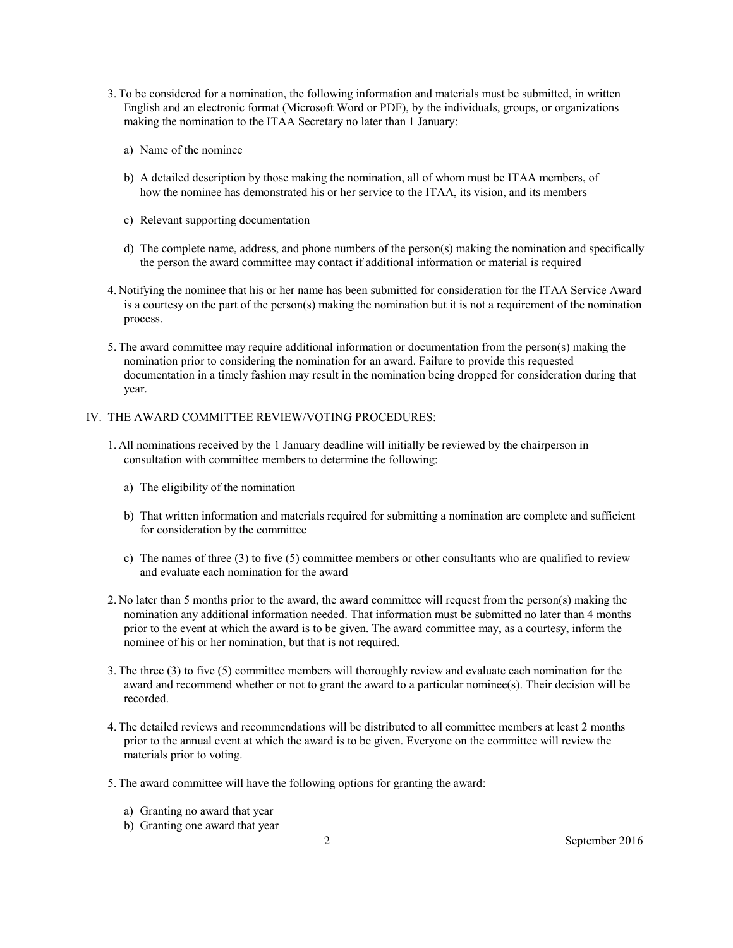- 3.To be considered for a nomination, the following information and materials must be submitted, in written English and an electronic format (Microsoft Word or PDF), by the individuals, groups, or organizations making the nomination to the ITAA Secretary no later than 1 January:
	- a) Name of the nominee
	- b) A detailed description by those making the nomination, all of whom must be ITAA members, of how the nominee has demonstrated his or her service to the ITAA, its vision, and its members
	- c) Relevant supporting documentation
	- d) The complete name, address, and phone numbers of the person(s) making the nomination and specifically the person the award committee may contact if additional information or material is required
- 4. Notifying the nominee that his or her name has been submitted for consideration for the ITAA Service Award is a courtesy on the part of the person(s) making the nomination but it is not a requirement of the nomination process.
- 5.The award committee may require additional information or documentation from the person(s) making the nomination prior to considering the nomination for an award. Failure to provide this requested documentation in a timely fashion may result in the nomination being dropped for consideration during that year.

## IV. THE AWARD COMMITTEE REVIEW/VOTING PROCEDURES:

- 1. All nominations received by the 1 January deadline will initially be reviewed by the chairperson in consultation with committee members to determine the following:
	- a) The eligibility of the nomination
	- b) That written information and materials required for submitting a nomination are complete and sufficient for consideration by the committee
	- c) The names of three (3) to five (5) committee members or other consultants who are qualified to review and evaluate each nomination for the award
- 2. No later than 5 months prior to the award, the award committee will request from the person(s) making the nomination any additional information needed. That information must be submitted no later than 4 months prior to the event at which the award is to be given. The award committee may, as a courtesy, inform the nominee of his or her nomination, but that is not required.
- 3.The three (3) to five (5) committee members will thoroughly review and evaluate each nomination for the award and recommend whether or not to grant the award to a particular nominee(s). Their decision will be recorded.
- 4.The detailed reviews and recommendations will be distributed to all committee members at least 2 months prior to the annual event at which the award is to be given. Everyone on the committee will review the materials prior to voting.
- 5.The award committee will have the following options for granting the award:
	- a) Granting no award that year
	- b) Granting one award that year